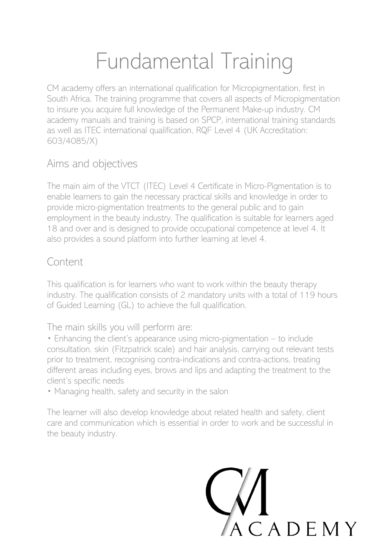# Fundamental Training

CM academy offers an international qualification for Micropigmentation, first in South Africa. The training programme that covers all aspects of Micropigmentation to insure you acquire full knowledge of the Permanent Make-up industry. CM academy manuals and training is based on SPCP, international training standards as well as ITEC international qualification, RQF Level 4 (UK Accreditation: 603/4085/X)

## Aims and objectives

The main aim of the VTCT (ITEC) Level 4 Certificate in Micro-Pigmentation is to enable learners to gain the necessary practical skills and knowledge in order to provide micro-pigmentation treatments to the general public and to gain employment in the beauty industry. The qualification is suitable for learners aged 18 and over and is designed to provide occupational competence at level 4. It also provides a sound platform into further learning at level 4.

#### Content

This qualification is for learners who want to work within the beauty therapy industry. The qualification consists of 2 mandatory units with a total of 119 hours of Guided Learning (GL) to achieve the full qualification.

The main skills you will perform are:

• Enhancing the client's appearance using micro-pigmentation – to include consultation, skin (Fitzpatrick scale) and hair analysis, carrying out relevant tests prior to treatment, recognising contra-indications and contra-actions, treating different areas including eyes, brows and lips and adapting the treatment to the client's specific needs

• Managing health, safety and security in the salon

The learner will also develop knowledge about related health and safety, client care and communication which is essential in order to work and be successful in the beauty industry.

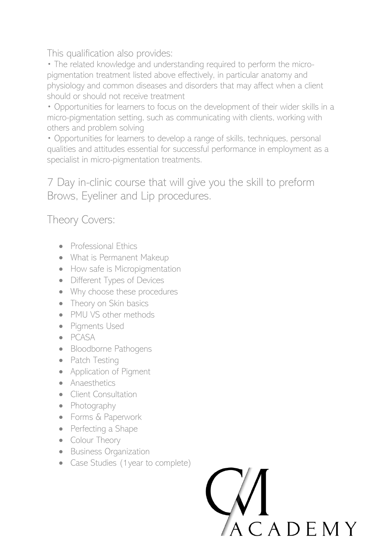This qualification also provides:

• The related knowledge and understanding required to perform the micropigmentation treatment listed above effectively, in particular anatomy and physiology and common diseases and disorders that may affect when a client should or should not receive treatment

• Opportunities for learners to focus on the development of their wider skills in a micro-pigmentation setting, such as communicating with clients, working with others and problem solving

• Opportunities for learners to develop a range of skills, techniques, personal qualities and attitudes essential for successful performance in employment as a specialist in micro-pigmentation treatments.

7 Day in-clinic course that will give you the skill to preform Brows, Eyeliner and Lip procedures.

# Theory Covers:

- Professional Ethics
- What is Permanent Makeup
- How safe is Micropigmentation
- Different Types of Devices
- Why choose these procedures
- Theory on Skin basics
- PMU VS other methods
- Pigments Used
- PCASA
- Bloodborne Pathogens
- Patch Testing
- Application of Pigment
- Anaesthetics
- Client Consultation
- Photography
- Forms & Paperwork
- Perfecting a Shape
- Colour Theory
- Business Organization
- Case Studies (1 year to complete)

CADEMY